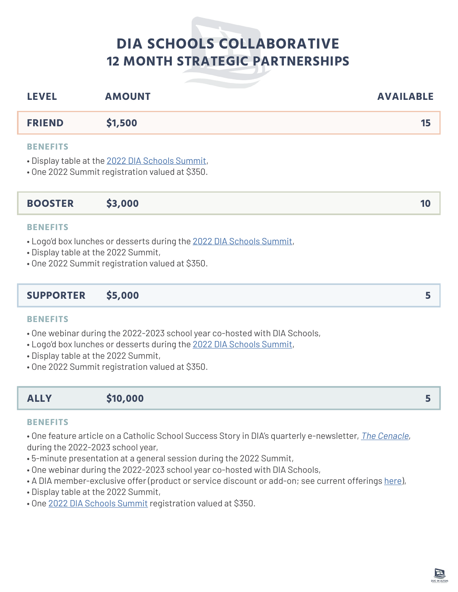# **DIA SCHOOLS COLLABORATIVE 12 MONTH STRATEGIC PARTNERSHIPS**

| <b>LEVEL</b>    | <b>AMOUNT</b> | <b>AVAILABLE</b> |
|-----------------|---------------|------------------|
| <b>FRIEND</b>   | \$1,500       | 15               |
| <b>BENEFITS</b> |               |                  |

• Display table at the [2022 DIA Schools Summit,](https://diaschools.org/events/schools-summit/)

• One 2022 Summit registration valued at \$350.

# **BOOSTER \$3,000 10**

#### **BENEFITS**

• Logo'd box lunches or desserts during the [2022 DIA Schools Summit,](https://diaschools.org/events/schools-summit/)

- Display table at the 2022 Summit,
- One 2022 Summit registration valued at \$350.

## **SUPPORTER \$5,000 5**

#### **BENEFITS**

- One webinar during the 2022-2023 school year co-hosted with DIA Schools,
- Logo'd box lunches or desserts during the [2022 DIA Schools Summit,](https://diaschools.org/events/schools-summit/)
- Display table at the 2022 Summit,
- One 2022 Summit registration valued at \$350.

# **ALLY \$10,000 5**

#### **BENEFITS**

• One feature article on a Catholic School Success Story in DIA's quarterly e-newsletter, *[The Cenacle](https://diaschools.org/latest/#cenacle)*, during the 2022-2023 school year,

- 5-minute presentation at a general session during the 2022 Summit,
- One webinar during the 2022-2023 school year co-hosted with DIA Schools,
- A DIA member-exclusive offer (product or service discount or add-on; see current offerings [here](https://diaschools.org/wp-content/uploads/2022/03/Member-Benefits-Second-half-2021-2022-3-11-2022.pdf)),
- Display table at the 2022 Summit,
- One [2022 DIA Schools Summit](https://diaschools.org/events/schools-summit/) registration valued at \$350.